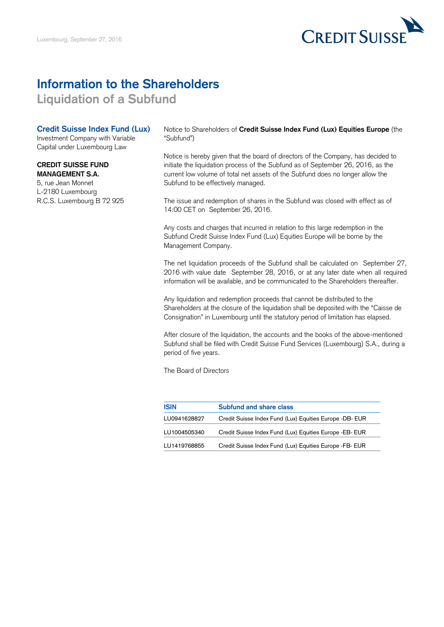

## **Information to the Shareholders**

**Liquidation of a Subfund**

## **Credit Suisse Index Fund (Lux)**

Investment Company with Variable Capital under Luxembourg Law

## **CREDIT SUISSE FUND MANAGEMENT S.A.**

5, rue Jean Monnet L-2180 Luxembourg R.C.S. Luxembourg B 72 925 Notice to Shareholders of **Credit Suisse Index Fund (Lux) Equities Europe** (the "Subfund")

Notice is hereby given that the board of directors of the Company, has decided to initiate the liquidation process of the Subfund as of September 26, 2016, as the current low volume of total net assets of the Subfund does no longer allow the Subfund to be effectively managed.

The issue and redemption of shares in the Subfund was closed with effect as of 14:00 CET on September 26, 2016.

Any costs and charges that incurred in relation to this large redemption in the Subfund Credit Suisse Index Fund (Lux) Equities Europe will be borne by the Management Company.

The net liquidation proceeds of the Subfund shall be calculated on September 27, 2016 with value date September 28, 2016, or at any later date when all required information will be available, and be communicated to the Shareholders thereafter.

Any liquidation and redemption proceeds that cannot be distributed to the Shareholders at the closure of the liquidation shall be deposited with the "Caisse de Consignation" in Luxembourg until the statutory period of limitation has elapsed.

After closure of the liquidation, the accounts and the books of the above-mentioned Subfund shall be filed with Credit Suisse Fund Services (Luxembourg) S.A., during a period of five years.

The Board of Directors

| <b>ISIN</b>  | <b>Subfund and share class</b>                          |
|--------------|---------------------------------------------------------|
| LU0941628827 | Credit Suisse Index Fund (Lux) Equities Europe -DB- EUR |
| LU1004505340 | Credit Suisse Index Fund (Lux) Equities Europe -EB- EUR |
| LU1419768855 | Credit Suisse Index Fund (Lux) Equities Europe -FB- EUR |